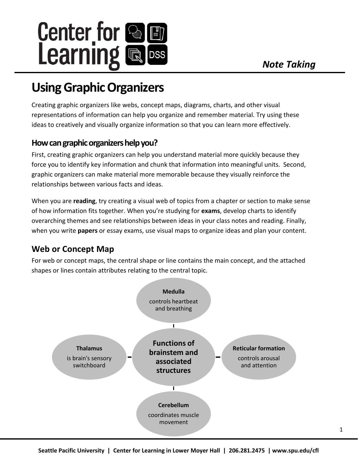

# **Using Graphic Organizers**

Creating graphic organizers like webs, concept maps, diagrams, charts, and other visual representations of information can help you organize and remember material. Try using these ideas to creatively and visually organize information so that you can learn more effectively.

# **How can graphic organizers help you?**

First, creating graphic organizers can help you understand material more quickly because they force you to identify key information and chunk that information into meaningful units. Second, graphic organizers can make material more memorable because they visually reinforce the relationships between various facts and ideas.

When you are **reading**, try creating a visual web of topics from a chapter or section to make sense of how information fits together. When you're studying for **exams**, develop charts to identify overarching themes and see relationships between ideas in your class notes and reading. Finally, when you write **papers** or essay exams, use visual maps to organize ideas and plan your content.

# **Web or Concept Map**

For web or concept maps, the central shape or line contains the main concept, and the attached shapes or lines contain attributes relating to the central topic.